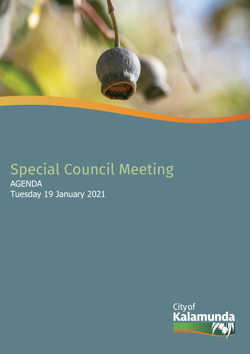

# Special Council Meeting AGENDA Tuesday 19 January 2021

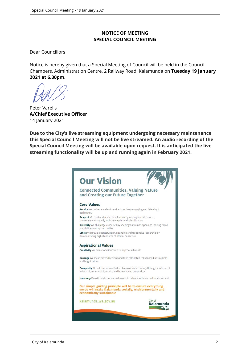## **NOTICE OF MEETING SPECIAL COUNCIL MEETING**

Dear Councillors

Notice is hereby given that a Special Meeting of Council will be held in the Council Chambers, Administration Centre, 2 Railway Road, Kalamunda on **Tuesday 19 January 2021 at 6.30pm**.

Peter Varelis **A/Chief Executive Officer** 14 January 2021

**Due to the City's live streaming equipment undergoing necessary maintenance this Special Council Meeting will not be live streamed. An audio recording of the Special Council Meeting will be available upon request. It is anticipated the live streaming functionality will be up and running again in February 2021.**

| <b>Connected Communities, Valuing Nature</b><br>and Creating our Future Together                                                                 |                 |
|--------------------------------------------------------------------------------------------------------------------------------------------------|-----------------|
| <b>Core Values</b>                                                                                                                               |                 |
| Service We deliver excellent service by actively engaging and listening to<br>each other.                                                        |                 |
| Respect We trust and respect each other by valuing our differences,<br>communicating openly and showing integrity in all we do.                  |                 |
| Diversity We challenge ourselves by keeping our minds open and looking for all<br>possibilities and opportunities.                               |                 |
| Ethics We provide honest, open, equitable and responsive leadership by<br>demonstrating high standards of ethical behaviour.                     |                 |
| <b>Aspirational Values</b>                                                                                                                       |                 |
| Creativity We create and innovate to improve all we do.                                                                                          |                 |
| Courage We make brave decisions and take calculated risks to lead us to a bold<br>and bright future.                                             |                 |
| Prosperity We will ensure our District has a robust economy through a mixture of<br>industrial, commercial, service and home based enterprises.  |                 |
| Harmony We will retain our natural assets in balance with our built environment.                                                                 |                 |
| Our simple guiding principle will be to ensure everything<br>we do will make Kalamunda socially, environmentally and<br>economically sustainable |                 |
| kalamunda.wa.gov.au                                                                                                                              | Cityof<br>Kalam |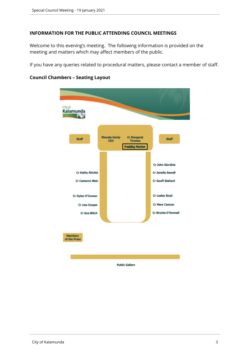#### **INFORMATION FOR THE PUBLIC ATTENDING COUNCIL MEETINGS**

Welcome to this evening's meeting. The following information is provided on the meeting and matters which may affect members of the public.

If you have any queries related to procedural matters, please contact a member of staff.



## **Council Chambers – Seating Layout**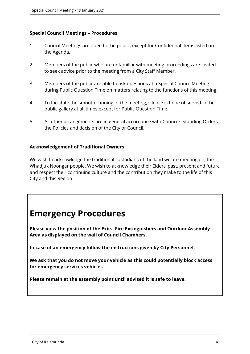## **Special Council Meetings – Procedures**

- 1. Council Meetings are open to the public, except for Confidential Items listed on the Agenda.
- 2. Members of the public who are unfamiliar with meeting proceedings are invited to seek advice prior to the meeting from a City Staff Member.
- 3. Members of the public are able to ask questions at a Special Council Meeting during Public Question Time on matters relating to the functions of this meeting.
- 4. To facilitate the smooth running of the meeting, silence is to be observed in the public gallery at all times except for Public Question Time.
- 5. All other arrangements are in general accordance with Council's Standing Orders, the Policies and decision of the City or Council.

#### **Acknowledgement of Traditional Owners**

We wish to acknowledge the traditional custodians of the land we are meeting on, the Whadjuk Noongar people. We wish to acknowledge their Elders' past, present and future and respect their continuing culture and the contribution they make to the life of this City and this Region.

## **Emergency Procedures**

**Please view the position of the Exits, Fire Extinguishers and Outdoor Assembly Area as displayed on the wall of Council Chambers.**

**In case of an emergency follow the instructions given by City Personnel.** 

**We ask that you do not move your vehicle as this could potentially block access for emergency services vehicles.** 

**Please remain at the assembly point until advised it is safe to leave.**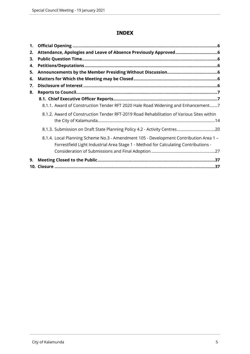## **INDEX**

| 1. |                                                                                                                                                                              |
|----|------------------------------------------------------------------------------------------------------------------------------------------------------------------------------|
| 2. |                                                                                                                                                                              |
| 3. |                                                                                                                                                                              |
| 4. |                                                                                                                                                                              |
| 5. |                                                                                                                                                                              |
| 6. |                                                                                                                                                                              |
| 7. |                                                                                                                                                                              |
| 8. |                                                                                                                                                                              |
|    |                                                                                                                                                                              |
|    | 8.1.1. Award of Construction Tender RFT 2020 Hale Road Widening and Enhancement7                                                                                             |
|    | 8.1.2. Award of Construction Tender RFT-2019 Road Rehabilitation of Various Sites within                                                                                     |
|    | 8.1.3. Submission on Draft State Planning Policy 4.2 - Activity Centres20                                                                                                    |
|    | 8.1.4. Local Planning Scheme No.3 - Amendment 105 - Development Contribution Area 1 -<br>Forrestfield Light Industrial Area Stage 1 - Method for Calculating Contributions - |
| 9. |                                                                                                                                                                              |
|    |                                                                                                                                                                              |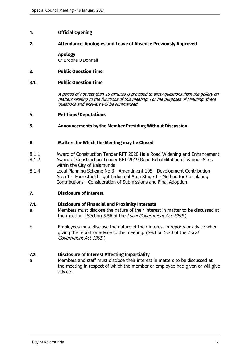#### <span id="page-5-0"></span>**1. Official Opening**

#### <span id="page-5-1"></span>**2. Attendance, Apologies and Leave of Absence Previously Approved**

#### **Apology**

Cr Brooke O'Donnell

#### <span id="page-5-2"></span>**3. Public Question Time**

#### **3.1. Public Question Time**

*A period of not less than 15 minutes is provided to allow questions from the gallery on matters relating to the functions of this meeting. For the purposes of Minuting, these questions and answers will be summarised.*

- <span id="page-5-3"></span>**4. Petitions/Deputations**
- <span id="page-5-4"></span>**5. Announcements by the Member Presiding Without Discussion**

#### <span id="page-5-5"></span>**6. Matters for Which the Meeting may be Closed**

- 8.1.1 Award of Construction Tender RFT 2020 Hale Road Widening and Enhancement
- 8.1.2 Award of Construction Tender RFT-2019 Road Rehabilitation of Various Sites within the City of Kalamunda
- 8.1.4 Local Planning Scheme No.3 Amendment 105 Development Contribution Area 1 – Forrestfield Light Industrial Area Stage 1 - Method for Calculating Contributions - Consideration of Submissions and Final Adoption

#### <span id="page-5-6"></span>**7. Disclosure of Interest**

#### **7.1. Disclosure of Financial and Proximity Interests**

- a. Members must disclose the nature of their interest in matter to be discussed at the meeting. (Section 5.56 of the *Local Government Act 1995*.)
- b. Employees must disclose the nature of their interest in reports or advice when giving the report or advice to the meeting. (Section 5.70 of the *Local Government Act 1995*.)

#### **7.2. Disclosure of Interest Affecting Impartiality**

a. Members and staff must disclose their interest in matters to be discussed at the meeting in respect of which the member or employee had given or will give advice.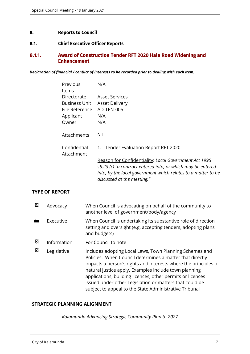#### <span id="page-6-0"></span>**8. Reports to Council**

#### <span id="page-6-1"></span>**8.1. Chief Executive Officer Reports**

## <span id="page-6-2"></span>**8.1.1. Award of Construction Tender RFT 2020 Hale Road Widening and Enhancement**

*Declaration of financial / conflict of interests to be recorded prior to dealing with each item.*

| Previous                   | N/A                                                                                                                                                        |
|----------------------------|------------------------------------------------------------------------------------------------------------------------------------------------------------|
| ltems                      |                                                                                                                                                            |
| Directorate                | Asset Services                                                                                                                                             |
| Business Unit              | <b>Asset Delivery</b>                                                                                                                                      |
| File Reference             | AD-TEN-005                                                                                                                                                 |
| Applicant                  | N/A                                                                                                                                                        |
| Owner                      | N/A                                                                                                                                                        |
| Attachments                | Nil                                                                                                                                                        |
| Confidential<br>Attachment | 1. Tender Evaluation Report RFT 2020                                                                                                                       |
|                            | Reason for Confidentiality: Local Government Act 1995                                                                                                      |
|                            | s5.23 (c) "a contract entered into, or which may be entered<br>into, by the local government which relates to a matter to be<br>discussed at the meeting." |
|                            |                                                                                                                                                            |

## **TYPE OF REPORT**

| 囨 | Advocacy    | When Council is advocating on behalf of the community to<br>another level of government/body/agency                                                                                                                                                                                                                                                                                                                                |
|---|-------------|------------------------------------------------------------------------------------------------------------------------------------------------------------------------------------------------------------------------------------------------------------------------------------------------------------------------------------------------------------------------------------------------------------------------------------|
| m | Executive   | When Council is undertaking its substantive role of direction<br>setting and oversight (e.g. accepting tenders, adopting plans<br>and budgets)                                                                                                                                                                                                                                                                                     |
| 囨 | Information | For Council to note                                                                                                                                                                                                                                                                                                                                                                                                                |
| 図 | Legislative | Includes adopting Local Laws, Town Planning Schemes and<br>Policies. When Council determines a matter that directly<br>impacts a person's rights and interests where the principles of<br>natural justice apply. Examples include town planning<br>applications, building licences, other permits or licences<br>issued under other Legislation or matters that could be<br>subject to appeal to the State Administrative Tribunal |

## **STRATEGIC PLANNING ALIGNMENT**

*Kalamunda Advancing Strategic Community Plan to 2027*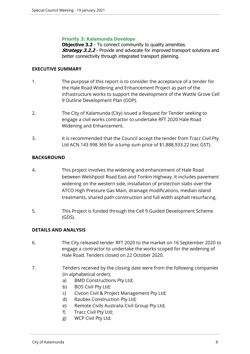#### **Priority 3: Kalamunda Develops**

**Objective 3.2** - To connect community to quality amenities. **Strategy 3.2.2** - Provide and advocate for improved transport solutions and better connectivity through integrated transport planning.

#### **EXECUTIVE SUMMARY**

- 1. The purpose of this report is to consider the acceptance of a tender for the Hale Road Widening and Enhancement Project as part of the infrastructure works to support the development of the Wattle Grove Cell 9 Outline Development Plan (ODP).
- 2. The City of Kalamunda (City) issued a Request for Tender seeking to engage a civil works contractor to undertake RFT 2020 Hale Road Widening and Enhancement.
- 3. It is recommended that the Council accept the tender from Tracc Civil Pty Ltd ACN 143 998 369 for a lump sum price of \$1,888,933.22 (exc GST).

## **BACKGROUND**

- 4. This project involves the widening and enhancement of Hale Road between Welshpool Road East and Tonkin Highway. It includes pavement widening on the western side, installation of protection slabs over the ATCO High Pressure Gas Main, drainage modifications, median island treatments, shared path construction and full width asphalt resurfacing.
- 5. This Project is funded through the Cell 9 Guided Development Scheme (GDS).

## **DETAILS AND ANALYSIS**

- 6. The City released tender RFT 2020 to the market on 16 September 2020 to engage a contractor to undertake the works scoped for the widening of Hale Road. Tenders closed on 22 October 2020.
- 7. Tenders received by the closing date were from the following companies (in alphabetical order);
	- a) BMD Constructions Pty Ltd;
	- b) BOS Civil Pty Ltd;
	- c) Civcon Civil & Project Management Pty Ltd;
	- d) Raubex Construction Pty Ltd;
	- e) Remote Civils Australia Civil Group Pty Ltd;
	- f) Tracc Civil Pty Ltd;
	- g) WCP Civil Pty Ltd.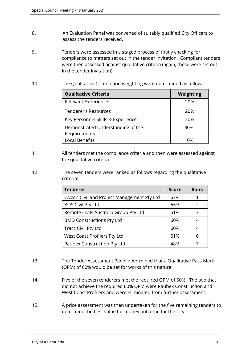- 8. An Evaluation Panel was convened of suitably qualified City Officers to assess the tenders received.
- 9. Tenders were assessed in a staged process of firstly checking for compliance to matters set out in the tender invitation. Compliant tenders were then assessed against qualitative criteria (again, these were set out in the tender invitation).
- 10. The Qualitative Criteria and weighting were determined as follows:

| <b>Qualitative Criteria</b>       | Weighting |  |
|-----------------------------------|-----------|--|
| Relevant Experience               | 20%       |  |
| Tenderer's Resources              | 20%       |  |
| Key Personnel Skills & Experience | 20%       |  |
| Demonstrated Understanding of the | 30%       |  |
| Requirements                      |           |  |
| <b>Local Benefits</b>             | 1በ%       |  |

- 11. All tenders met the compliance criteria and then were assessed against the qualitative criteria.
- 12. The seven tenders were ranked as follows regarding the qualitative criteria:

| <b>Tenderer</b>                             | <b>Score</b> | <b>Rank</b>   |
|---------------------------------------------|--------------|---------------|
| Civcon Civil and Project Management Pty Ltd | 67%          |               |
| <b>BOS Civil Pty Ltd</b>                    | 65%          | $\mathcal{P}$ |
| Remote Civils Australia Group Pty Ltd       | 61%          | 3             |
| <b>BMD Constructions Pty Ltd</b>            | 60%          |               |
| <b>Tracc Civil Pty Ltd</b>                  | 60%          |               |
| West Coast Profilers Pty Ltd                | 51%          | 6             |
| Raubex Construction Pty Ltd                 | 48%          |               |

- 13. The Tender Assessment Panel determined that a Qualitative Pass Mark (QPM) of 60% would be set for works of this nature.
- 14. Five of the seven tenderers met the required QPM of 60%. The two that did not achieve the required 60% QPM were Raubex Construction and West Coast Profilers and were eliminated from further assessment.
- 15. A price assessment was then undertaken for the five remaining tenders to determine the best value for money outcome for the City.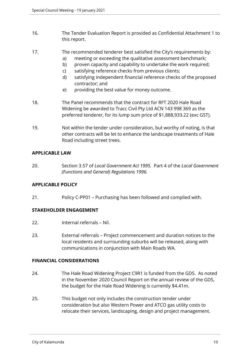- 16. The Tender Evaluation Report is provided as Confidential Attachment 1 to this report.
- 17. The recommended tenderer best satisfied the City's requirements by:
	- a) meeting or exceeding the qualitative assessment benchmark;
	- b) proven capacity and capability to undertake the work required;
	- c) satisfying reference checks from previous clients;
	- d) satisfying independent financial reference checks of the proposed contractor; and
	- e) providing the best value for money outcome.
- 18. The Panel recommends that the contract for RFT 2020 Hale Road Widening be awarded to Tracc Civil Pty Ltd ACN 143 998 369 as the preferred tenderer, for its lump sum price of \$1,888,933.22 (exc GST).
- 19. Not within the tender under consideration, but worthy of noting, is that other contracts will be let to enhance the landscape treatments of Hale Road including street trees.

## **APPLICABLE LAW**

20. Section 3.57 of *Local Government Act 1995.* Part 4 of the *Local Government (Functions and General) Regulations 1996.*

## **APPLICABLE POLICY**

21. Policy C-PP01 – Purchasing has been followed and complied with.

## **STAKEHOLDER ENGAGEMENT**

- 22. Internal referrals Nil.
- 23. External referrals Project commencement and duration notices to the local residents and surrounding suburbs will be released, along with communications in conjunction with Main Roads WA.

## **FINANCIAL CONSIDERATIONS**

- 24. The Hale Road Widening Project C9R1 is funded from the GDS. As noted in the November 2020 Council Report on the annual review of the GDS, the budget for the Hale Road Widening is currently \$4.41m.
- 25. This budget not only includes the construction tender under consideration but also Western Power and ATCO gas utility costs to relocate their services, landscaping, design and project management.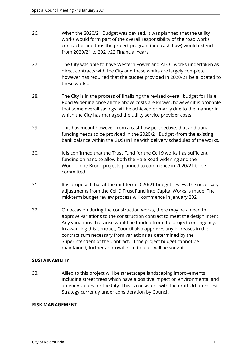- 26. When the 2020/21 Budget was devised, it was planned that the utility works would form part of the overall responsibility of the road works contractor and thus the project program (and cash flow) would extend from 2020/21 to 2021/22 Financial Years.
- 27. The City was able to have Western Power and ATCO works undertaken as direct contracts with the City and these works are largely complete, however has required that the budget provided in 2020/21 be allocated to these works.
- 28. The City is in the process of finalising the revised overall budget for Hale Road Widening once all the above costs are known, however it is probable that some overall savings will be achieved primarily due to the manner in which the City has managed the utility service provider costs.
- 29. This has meant however from a cashflow perspective, that additional funding needs to be provided in the 2020/21 Budget (from the existing bank balance within the GDS) in line with delivery schedules of the works.
- 30. It is confirmed that the Trust Fund for the Cell 9 works has sufficient funding on hand to allow both the Hale Road widening and the Woodlupine Brook projects planned to commence in 2020/21 to be committed.
- 31. It is proposed that at the mid-term 2020/21 budget review, the necessary adjustments from the Cell 9 Trust Fund into Capital Works is made. The mid-term budget review process will commence in January 2021.
- 32. On occasion during the construction works, there may be a need to approve variations to the construction contract to meet the design intent. Any variations that arise would be funded from the project contingency. In awarding this contract, Council also approves any increases in the contract sum necessary from variations as determined by the Superintendent of the Contract. If the project budget cannot be maintained, further approval from Council will be sought.

## **SUSTAINABILITY**

33. Allied to this project will be streetscape landscaping improvements including street trees which have a positive impact on environmental and amenity values for the City. This is consistent with the draft Urban Forest Strategy currently under consideration by Council.

## **RISK MANAGEMENT**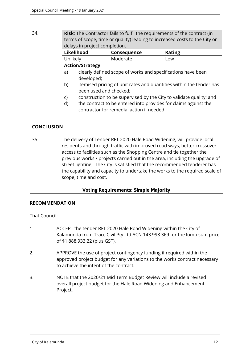34. **Risk**: The Contractor fails to fulfil the requirements of the contract (in terms of scope, time or quality) leading to increased costs to the City or delays in project completion.

| Likelihood             | <b>Consequence</b> | <b>Rating</b> |
|------------------------|--------------------|---------------|
| Unlikely               | Moderate           | LOW           |
| <b>Action/Strategy</b> |                    |               |

- a) clearly defined scope of works and specifications have been developed;
- b) itemised pricing of unit rates and quantities within the tender has been used and checked;
- c) construction to be supervised by the City to validate quality; and
- d) the contract to be entered into provides for claims against the contractor for remedial action if needed.

## **CONCLUSION**

35. The delivery of Tender RFT 2020 Hale Road Widening, will provide local residents and through traffic with improved road ways, better crossover access to facilities such as the Shopping Centre and tie together the previous works / projects carried out in the area, including the upgrade of street lighting. The City is satisfied that the recommended tenderer has the capability and capacity to undertake the works to the required scale of scope, time and cost.

## **Voting Requirements: Simple Majority**

## **RECOMMENDATION**

That Council:

- 1. ACCEPT the tender RFT 2020 Hale Road Widening within the City of Kalamunda from Tracc Civil Pty Ltd ACN 143 998 369 for the lump sum price of \$1,888,933.22 (plus GST).
- 2. APPROVE the use of project contingency funding if required within the approved project budget for any variations to the works contract necessary to achieve the intent of the contract.
- 3. NOTE that the 2020/21 Mid Term Budget Review will include a revised overall project budget for the Hale Road Widening and Enhancement Project.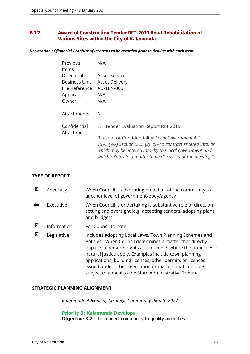## <span id="page-12-0"></span>**8.1.2. Award of Construction Tender RFT-2019 Road Rehabilitation of Various Sites within the City of Kalamunda**

*Declaration of financial / conflict of interests to be recorded prior to dealing with each item.*

| Previous       | N/A                                                                                                                     |
|----------------|-------------------------------------------------------------------------------------------------------------------------|
| ltems          |                                                                                                                         |
| Directorate    | Asset Services                                                                                                          |
| Business Unit  | <b>Asset Delivery</b>                                                                                                   |
| File Reference | AD-TEN-005                                                                                                              |
| Applicant      | N/A                                                                                                                     |
| Owner          | N/A                                                                                                                     |
|                |                                                                                                                         |
| Attachments    | Nil                                                                                                                     |
|                |                                                                                                                         |
| Confidential   | 1. Tender Evaluation Report RFT 2019                                                                                    |
| Attachment     |                                                                                                                         |
|                | Reason for Confidentiality: Local Government Act                                                                        |
|                | 1995 (WA) Section 5.23 (2) (c) - "a contract entered into, or<br>which may be entered into, by the local government and |
|                | which relates to a matter to be discussed at the meeting."                                                              |

#### **TYPE OF REPORT**

| 図 | Advocacy    | When Council is advocating on behalf of the community to<br>another level of government/body/agency                                                                                                                                                                                                                                                                                                                                |
|---|-------------|------------------------------------------------------------------------------------------------------------------------------------------------------------------------------------------------------------------------------------------------------------------------------------------------------------------------------------------------------------------------------------------------------------------------------------|
|   | Executive   | When Council is undertaking is substantive role of direction<br>setting and oversight (e.g. accepting tenders, adopting plans<br>and budgets                                                                                                                                                                                                                                                                                       |
| 囜 | Information | For Council to note                                                                                                                                                                                                                                                                                                                                                                                                                |
| 図 | Legislative | Includes adopting Local Laws, Town Planning Schemes and<br>Policies. When Council determines a matter that directly<br>impacts a person's rights and interests where the principles of<br>natural justice apply. Examples include town planning<br>applications, building licences, other permits or licences<br>issued under other Legislation or matters that could be<br>subject to appeal to the State Administrative Tribunal |

#### **STRATEGIC PLANNING ALIGNMENT**

*Kalamunda Advancing Strategic Community Plan to 2027*

**Priority 3: Kalamunda Develops**

**Objective 3.2** - To connect community to quality amenities.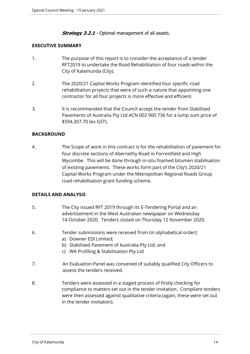*Strategy 3.2.1* - Optimal management of all assets.

#### **EXECUTIVE SUMMARY**

- 1. The purpose of this report is to consider the acceptance of a tender RFT2019 to undertake the Road Rehabilitation of four roads within the City of Kalamunda (City).
- 2. The 2020/21 Capital Works Program identified four specific road rehabilitation projects that were of such a nature that appointing one contractor for all four projects is more effective and efficient.
- 3. It is recommended that the Council accept the tender from Stabilised Pavements of Australia Pty Ltd ACN 002 900 736 for a lump sum price of \$594,307.70 (ex GST).

## **BACKGROUND**

4. The Scope of work in this contract is for the rehabilitation of pavement for four discrete sections of Abernethy Road in Forrestfield and High Wycombe. This will be done through in-situ foamed bitumen stabilisation of existing pavements. These works form part of the City's 2020/21 Capital Works Program under the Metropolitan Regional Roads Group road rehabilitation grant funding scheme.

## **DETAILS AND ANALYSIS**

- 5. The City issued RFT 2019 through its E-Tendering Portal and an advertisement in the West Australian newspaper on Wednesday 14 October 2020. Tenders closed on Thursday 12 November 2020.
- 6. Tender submissions were received from (in alphabetical order):
	- a) Downer EDI Limited;
	- b) Stabilised Pavement of Australia Pty Ltd; and
	- c) WA Profiling & Stabilisation Pty Ltd
- 7. An Evaluation Panel was convened of suitably qualified City Officers to assess the tenders received.
- 8. Tenders were assessed in a staged process of firstly checking for compliance to matters set out in the tender invitation. Compliant tenders were then assessed against qualitative criteria (again, these were set out in the tender invitation).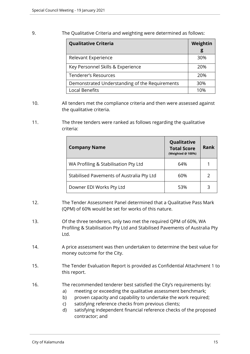9. The Qualitative Criteria and weighting were determined as follows:

| <b>Qualitative Criteria</b>                    | Weightin<br>g |
|------------------------------------------------|---------------|
| Relevant Experience                            | 30%           |
| Key Personnel Skills & Experience              | 20%           |
| <b>Tenderer's Resources</b>                    | 20%           |
| Demonstrated Understanding of the Requirements | 30%           |
| <b>Local Benefits</b>                          | 10%           |

- 10. All tenders met the compliance criteria and then were assessed against the qualitative criteria.
- 11. The three tenders were ranked as follows regarding the qualitative criteria:

| <b>Company Name</b>                       | Qualitative<br><b>Total Score</b><br>(Weighted @ 100%) | <b>Rank</b> |
|-------------------------------------------|--------------------------------------------------------|-------------|
| WA Profiling & Stabilisation Pty Ltd      | 64%                                                    |             |
| Stabilised Pavements of Australia Pty Ltd | 60%                                                    |             |
| Downer EDI Works Pty Ltd                  | 53%                                                    | 3           |

- 12. The Tender Assessment Panel determined that a Qualitative Pass Mark (QPM) of 60% would be set for works of this nature.
- 13. Of the three tenderers, only two met the required QPM of 60%, WA Profiling & Stabilisation Pty Ltd and Stabilised Pavements of Australia Pty Ltd.
- 14. A price assessment was then undertaken to determine the best value for money outcome for the City.
- 15. The Tender Evaluation Report is provided as Confidential Attachment 1 to this report.
- 16. The recommended tenderer best satisfied the City's requirements by:
	- a) meeting or exceeding the qualitative assessment benchmark;
	- b) proven capacity and capability to undertake the work required;
	- c) satisfying reference checks from previous clients;
	- d) satisfying independent financial reference checks of the proposed contractor; and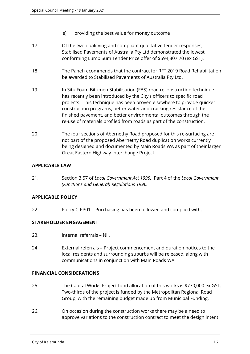- e) providing the best value for money outcome
- 17. Of the two qualifying and compliant qualitative tender responses, Stabilised Pavements of Australia Pty Ltd demonstrated the lowest conforming Lump Sum Tender Price offer of \$594,307.70 (ex GST).
- 18. The Panel recommends that the contract for RFT 2019 Road Rehabilitation be awarded to Stabilised Pavements of Australia Pty Ltd.
- 19. In Situ Foam Bitumen Stabilisation (FBS) road reconstruction technique has recently been introduced by the City's officers to specific road projects. This technique has been proven elsewhere to provide quicker construction programs, better water and cracking resistance of the finished pavement, and better environmental outcomes through the re-use of materials profiled from roads as part of the construction.
- 20. The four sections of Abernethy Road proposed for this re-surfacing are not part of the proposed Abernethy Road duplication works currently being designed and documented by Main Roads WA as part of their larger Great Eastern Highway Interchange Project.

## **APPLICABLE LAW**

21. Section 3.57 of *Local Government Act 1995.* Part 4 of the *Local Government (Functions and General) Regulations 1996.*

## **APPLICABLE POLICY**

22. Policy C-PP01 – Purchasing has been followed and complied with.

#### **STAKEHOLDER ENGAGEMENT**

- 23. Internal referrals Nil.
- 24. External referrals Project commencement and duration notices to the local residents and surrounding suburbs will be released, along with communications in conjunction with Main Roads WA.

## **FINANCIAL CONSIDERATIONS**

- 25. The Capital Works Project fund allocation of this works is \$770,000 ex GST. Two-thirds of the project is funded by the Metropolitan Regional Road Group, with the remaining budget made up from Municipal Funding.
- 26. On occasion during the construction works there may be a need to approve variations to the construction contract to meet the design intent.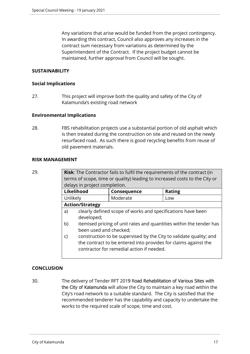Any variations that arise would be funded from the project contingency. In awarding this contract, Council also approves any increases in the contract sum necessary from variations as determined by the Superintendent of the Contract. If the project budget cannot be maintained, further approval from Council will be sought.

## **SUSTAINABILITY**

#### **Social Implications**

27. This project will improve both the quality and safety of the City of Kalamunda's existing road network

#### **Environmental Implications**

28. FBS rehabilitation projects use a substantial portion of old asphalt which is then treated during the construction on site and reused on the newly resurfaced road. As such there is good recycling benefits from reuse of old pavement materials.

#### **RISK MANAGEMENT**

**Risk:** The Contractor fails to fulfil the requirements of the contract (in terms of scope, time or quality) leading to increased costs to the City or delays in project completion.

| <b>Likelihood</b>      | Consequence | <b>Rating</b> |
|------------------------|-------------|---------------|
| Unlikely               | Moderate    | LOW           |
| <b>Action/Strategy</b> |             |               |

- a) clearly defined scope of works and specifications have been developed;
- b) itemised pricing of unit rates and quantities within the tender has been used and checked;
- c) construction to be supervised by the City to validate quality; and the contract to be entered into provides for claims against the contractor for remedial action if needed.

## **CONCLUSION**

30. The delivery of Tender RFT 2019 Road Rehabilitation of Various Sites with the City of Kalamunda will allow the City to maintain a key road within the City's road network to a suitable standard. The City is satisfied that the recommended tenderer has the capability and capacity to undertake the works to the required scale of scope, time and cost.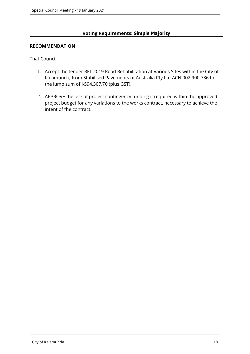## **Voting Requirements: Simple Majority**

#### **RECOMMENDATION**

That Council:

- 1. Accept the tender RFT 2019 Road Rehabilitation at Various Sites within the City of Kalamunda, from Stabilised Pavements of Australia Pty Ltd ACN 002 900 736 for the lump sum of \$594,307.70 (plus GST).
- 2. APPROVE the use of project contingency funding if required within the approved project budget for any variations to the works contract, necessary to achieve the intent of the contract.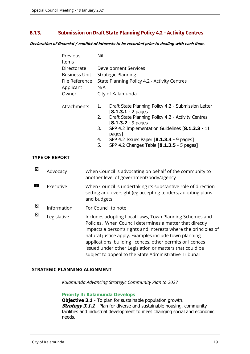## <span id="page-18-0"></span>**8.1.3. Submission on Draft State Planning Policy 4.2 - Activity Centres**

*Declaration of financial / conflict of interests to be recorded prior to dealing with each item.*

| Previous       | Nil                                          |                                                                                       |  |
|----------------|----------------------------------------------|---------------------------------------------------------------------------------------|--|
| Items          |                                              |                                                                                       |  |
| Directorate    | <b>Development Services</b>                  |                                                                                       |  |
| Business Unit  | <b>Strategic Planning</b>                    |                                                                                       |  |
| File Reference | State Planning Policy 4.2 - Activity Centres |                                                                                       |  |
| Applicant      | N/A                                          |                                                                                       |  |
| Owner          |                                              | City of Kalamunda                                                                     |  |
| Attachments    | 1.                                           | Draft State Planning Policy 4.2 - Submission Letter<br>$[8.1.3.1 - 2$ pages]          |  |
|                | 2.                                           | Draft State Planning Policy 4.2 - Activity Centres<br>$[8.1.3.2 - 9$ pages]           |  |
|                | 3.                                           | SPP 4.2 Implementation Guidelines [8.1.3.3 - 11<br>pages]                             |  |
|                | 4.<br>5.                                     | SPP 4.2 Issues Paper [8.1.3.4 - 9 pages]<br>SPP 4.2 Changes Table [8.1.3.5 - 5 pages] |  |
|                |                                              |                                                                                       |  |

#### **TYPE OF REPORT**

| 図 | Advocacy    | When Council is advocating on behalf of the community to<br>another level of government/body/agency                                                                                                                                                                                                                                                                                                                                |
|---|-------------|------------------------------------------------------------------------------------------------------------------------------------------------------------------------------------------------------------------------------------------------------------------------------------------------------------------------------------------------------------------------------------------------------------------------------------|
|   | Executive   | When Council is undertaking its substantive role of direction<br>setting and oversight (eg accepting tenders, adopting plans<br>and budgets                                                                                                                                                                                                                                                                                        |
| 図 | Information | For Council to note                                                                                                                                                                                                                                                                                                                                                                                                                |
| 図 | Legislative | Includes adopting Local Laws, Town Planning Schemes and<br>Policies. When Council determines a matter that directly<br>impacts a person's rights and interests where the principles of<br>natural justice apply. Examples include town planning<br>applications, building licences, other permits or licences<br>issued under other Legislation or matters that could be<br>subject to appeal to the State Administrative Tribunal |

#### **STRATEGIC PLANNING ALIGNMENT**

*Kalamunda Advancing Strategic Community Plan to 2027*

#### **Priority 3: Kalamunda Develops**

**Objective 3.1** - To plan for sustainable population growth. **Strategy 3.1.1** - Plan for diverse and sustainable housing, community facilities and industrial development to meet changing social and economic needs.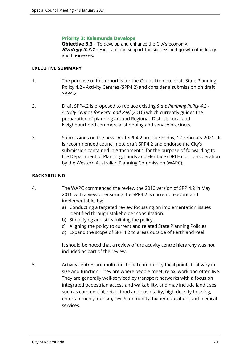#### **Priority 3: Kalamunda Develops**

**Objective 3.3** - To develop and enhance the City's economy. **Strategy 3.3.1** - Facilitate and support the success and growth of industry and businesses.

#### **EXECUTIVE SUMMARY**

- 1. The purpose of this report is for the Council to note draft State Planning Policy 4.2 - Activity Centres (SPP4.2) and consider a submission on draft SPP4.2
- 2. Draft SPP4.2 is proposed to replace existing *State Planning Policy 4.2 Activity Centres for Perth and Peel* (2010) which currently guides the preparation of planning around Regional, District, Local and Neighbourhood commercial shopping and service precincts.
- 3. Submissions on the new Draft SPP4.2 are due Friday, 12 February 2021. It is recommended council note draft SPP4.2 and endorse the City's submission contained in Attachment 1 for the purpose of forwarding to the Department of Planning, Lands and Heritage (DPLH) for consideration by the Western Australian Planning Commission (WAPC).

#### **BACKGROUND**

- 4. The WAPC commenced the review the 2010 version of SPP 4.2 in May 2016 with a view of ensuring the SPP4.2 is current, relevant and implementable, by:
	- a) Conducting a targeted review focussing on implementation issues identified through stakeholder consultation.
	- b) Simplifying and streamlining the policy.
	- c) Aligning the policy to current and related State Planning Policies.
	- d) Expand the scope of SPP 4.2 to areas outside of Perth and Peel.

It should be noted that a review of the activity centre hierarchy was not included as part of the review.

5. Activity centres are multi-functional community focal points that vary in size and function. They are where people meet, relax, work and often live. They are generally well-serviced by transport networks with a focus on integrated pedestrian access and walkability, and may include land uses such as commercial, retail, food and hospitality, high-density housing, entertainment, tourism, civic/community, higher education, and medical services.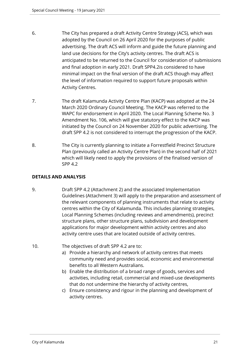- 6. The City has prepared a draft Activity Centre Strategy (ACS), which was adopted by the Council on 26 April 2020 for the purposes of public advertising. The draft ACS will inform and guide the future planning and land use decisions for the City's activity centres. The draft ACS is anticipated to be returned to the Council for consideration of submissions and final adoption in early 2021. Draft SPP4.2is considered to have minimal impact on the final version of the draft ACS though may affect the level of information required to support future proposals within Activity Centres.
- 7. The draft Kalamunda Activity Centre Plan (KACP) was adopted at the 24 March 2020 Ordinary Council Meeting. The KACP was referred to the WAPC for endorsement in April 2020. The Local Planning Scheme No. 3 Amendment No. 106, which will give statutory effect to the KACP was initiated by the Council on 24 November 2020 for public advertising. The draft SPP 4.2 is not considered to interrupt the progression of the KACP.
- 8. The City is currently planning to initiate a Forrestfield Precinct Structure Plan (previously called an Activity Centre Plan) in the second half of 2021 which will likely need to apply the provisions of the finalised version of SPP 4.2

## **DETAILS AND ANALYSIS**

- 9. Draft SPP 4.2 (Attachment 2) and the associated Implementation Guidelines (Attachment 3) will apply to the preparation and assessment of the relevant components of planning instruments that relate to activity centres within the City of Kalamunda. This includes planning strategies, Local Planning Schemes (including reviews and amendments), precinct structure plans, other structure plans, subdivision and development applications for major development within activity centres and also activity centre uses that are located outside of activity centres.
- 10. The objectives of draft SPP 4.2 are to:
	- a) Provide a hierarchy and network of activity centres that meets community need and provides social, economic and environmental benefits to all Western Australians.
	- b) Enable the distribution of a broad range of goods, services and activities, including retail, commercial and mixed-use developments that do not undermine the hierarchy of activity centres,
	- c) Ensure consistency and rigour in the planning and development of activity centres.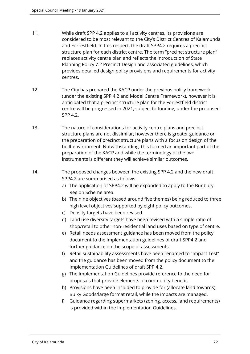- 11. While draft SPP 4.2 applies to all activity centres, its provisions are considered to be most relevant to the City's District Centres of Kalamunda and Forrestfield. In this respect, the draft SPP4.2 requires a precinct structure plan for each district centre. The term "precinct structure plan" replaces activity centre plan and reflects the introduction of State Planning Policy 7.2 Precinct Design and associated guidelines, which provides detailed design policy provisions and requirements for activity centres.
- 12. The City has prepared the KACP under the previous policy framework (under the existing SPP 4.2 and Model Centre Framework), however it is anticipated that a precinct structure plan for the Forrestfield district centre will be progressed in 2021, subject to funding, under the proposed SPP 4.2.
- 13. The nature of considerations for activity centre plans and precinct structure plans are not dissimilar, however there is greater guidance on the preparation of precinct structure plans with a focus on design of the built environment. Notwithstanding, this formed an important part of the preparation of the KACP and while the terminology of the two instruments is different they will achieve similar outcomes.
- 14. The proposed changes between the existing SPP 4.2 and the new draft SPP4.2 are summarised as follows:
	- a) The application of SPP4.2 will be expanded to apply to the Bunbury Region Scheme area.
	- b) The nine objectives (based around five themes) being reduced to three high level objectives supported by eight policy outcomes.
	- c) Density targets have been revised.
	- d) Land use diversity targets have been revised with a simple ratio of shop/retail to other non-residential land uses based on type of centre.
	- e) Retail needs assessment guidance has been moved from the policy document to the Implementation guidelines of draft SPP4.2 and further guidance on the scope of assessments.
	- f) Retail sustainability assessments have been renamed to "Impact Test" and the guidance has been moved from the policy document to the Implementation Guidelines of draft SPP 4.2.
	- g) The Implementation Guidelines provide reference to the need for proposals that provide elements of community benefit.
	- h) Provisions have been included to provide for (allocate land towards) Bulky Goods/large format retail, while the impacts are managed.
	- i) Guidance regarding supermarkets (zoning, access, land requirements) is provided within the Implementation Guidelines.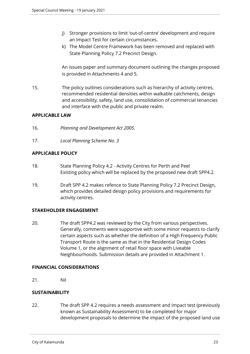- j) Stronger provisions to limit 'out-of-centre' development and require an Impact Test for certain circumstances.
- k) The Model Centre Framework has been removed and replaced with State Planning Policy 7.2 Precinct Design.

An issues paper and summary document outlining the changes proposed is provided in Attachments 4 and 5.

15. The policy outlines considerations such as hierarchy of activity centres, recommended residential densities within walkable catchments, design and accessibility, safety, land use, consolidation of commercial tenancies and interface with the public and private realm.

## **APPLICABLE LAW**

- 16. *Planning and Development Act 2005.*
- 17. *Local Planning Scheme No. 3*

## **APPLICABLE POLICY**

- 18. State Planning Policy 4.2 Activity Centres for Perth and Peel Existing policy which will be replaced by the proposed new draft SPP4.2.
- 19. Draft SPP 4.2 makes refence to State Planning Policy 7.2 Precinct Design, which provides detailed design policy provisions and requirements for activity centres.

## **STAKEHOLDER ENGAGEMENT**

20. The draft SPP4.2 was reviewed by the City from various perspectives. Generally, comments were supportive with some minor requests to clarify certain aspects such as whether the definition of a High Frequency Public Transport Route is the same as that in the Residential Design Codes Volume 1, or the alignment of retail floor space with Liveable Neighbourhoods. Submission details are provided in Attachment 1.

## **FINANCIAL CONSIDERATIONS**

21. Nil

## **SUSTAINABILITY**

22. The draft SPP 4.2 requires a needs assessment and impact test (previously known as Sustainability Assessment) to be completed for major development proposals to determine the impact of the proposed land use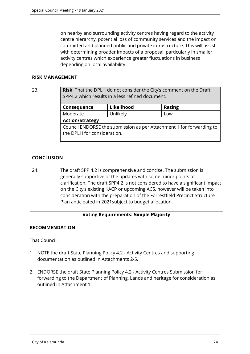on nearby and surrounding activity centres having regard to the activity centre hierarchy, potential loss of community services and the impact on committed and planned public and private infrastructure. This will assist with determining broader impacts of a proposal, particularly in smaller activity centres which experience greater fluctuations in business depending on local availability.

## **RISK MANAGEMENT**

23. **Risk**: That the DPLH do not consider the City's comment on the Draft SPP4.2 which results in a less refined document.

| Consequence            | Likelihood | <b>Rating</b> |
|------------------------|------------|---------------|
| Moderate               | Unlikely   | Low           |
| <b>Action/Strategy</b> |            |               |

Council ENDORSE the submission as per Attachment 1 for forwarding to the DPLH for consideration.

## **CONCLUSION**

24. The draft SPP 4.2 is comprehensive and concise. The submission is generally supportive of the updates with some minor points of clarification. The draft SPP4.2 is not considered to have a significant impact on the City's existing KACP or upcoming ACS, however will be taken into consideration with the preparation of the Forrestfield Precinct Structure Plan anticipated in 2021subject to budget allocation.

## **Voting Requirements: Simple Majority**

## **RECOMMENDATION**

That Council:

- 1. NOTE the draft State Planning Policy 4.2 Activity Centres and supporting documentation as outlined in Attachments 2-5.
- 2. ENDORSE the draft State Planning Policy 4.2 Activity Centres Submission for forwarding to the Department of Planning, Lands and heritage for consideration as outlined in Attachment 1.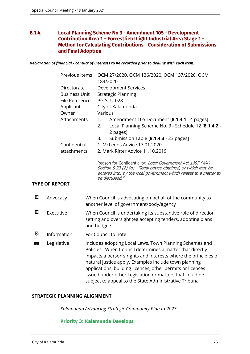## <span id="page-24-0"></span>**8.1.4. Local Planning Scheme No.3 - Amendment 105 - Development Contribution Area 1 – Forrestfield Light Industrial Area Stage 1 - Method for Calculating Contributions - Consideration of Submissions and Final Adoption**

*Declaration of financial / conflict of interests to be recorded prior to dealing with each item.*

|   | Previous Items       | OCM 27/2020, OCM 136/2020, OCM 137/2020, OCM                                                                                                                                                                                                                                                                                                                                                                                       |
|---|----------------------|------------------------------------------------------------------------------------------------------------------------------------------------------------------------------------------------------------------------------------------------------------------------------------------------------------------------------------------------------------------------------------------------------------------------------------|
|   |                      | 184/2020                                                                                                                                                                                                                                                                                                                                                                                                                           |
|   | Directorate          | <b>Development Services</b>                                                                                                                                                                                                                                                                                                                                                                                                        |
|   | <b>Business Unit</b> | <b>Strategic Planning</b>                                                                                                                                                                                                                                                                                                                                                                                                          |
|   | File Reference       | <b>PG-STU-028</b>                                                                                                                                                                                                                                                                                                                                                                                                                  |
|   | Applicant            | City of Kalamunda                                                                                                                                                                                                                                                                                                                                                                                                                  |
|   | Owner                | Various                                                                                                                                                                                                                                                                                                                                                                                                                            |
|   | Attachments          | Amendment 105 Document [8.1.4.1 - 4 pages]<br>1.                                                                                                                                                                                                                                                                                                                                                                                   |
|   |                      | Local Planning Scheme No. 3 - Schedule 12 [8.1.4.2 -<br>2.<br>2 pages]                                                                                                                                                                                                                                                                                                                                                             |
|   |                      | Submission Table [8.1.4.3 - 23 pages]<br>3.                                                                                                                                                                                                                                                                                                                                                                                        |
|   | Confidential         | 1. McLeods Advice 17.01.2020                                                                                                                                                                                                                                                                                                                                                                                                       |
|   | attachments          | 2. Mark Ritter Advice 11.10.2019                                                                                                                                                                                                                                                                                                                                                                                                   |
|   |                      | Reason for Confidentiality: Local Government Act 1995 (WA)<br>Section 5.23 (2) (d) - "legal advice obtained, or which may be<br>entered into, by the local government which relates to a matter to<br>be discussed."                                                                                                                                                                                                               |
|   | <b>YPE OF REPORT</b> |                                                                                                                                                                                                                                                                                                                                                                                                                                    |
| 囟 | Advocacy             | When Council is advocating on behalf of the community to<br>another level of government/body/agency                                                                                                                                                                                                                                                                                                                                |
| 囟 | Executive            | When Council is undertaking its substantive role of direction<br>setting and oversight (eg accepting tenders, adopting plans<br>and budgets                                                                                                                                                                                                                                                                                        |
| 囟 | Information          | For Council to note                                                                                                                                                                                                                                                                                                                                                                                                                |
| M | Legislative          | Includes adopting Local Laws, Town Planning Schemes and<br>Policies. When Council determines a matter that directly<br>impacts a person's rights and interests where the principles of<br>natural justice apply. Examples include town planning<br>applications, building licences, other permits or licences<br>issued under other Legislation or matters that could be<br>subject to appeal to the State Administrative Tribunal |

#### **STRATEGIC PLANNING ALIGNMENT**

*Kalamunda Advancing Strategic Community Plan to 2027*

#### **Priority 3: Kalamunda Develops**

**TYPE**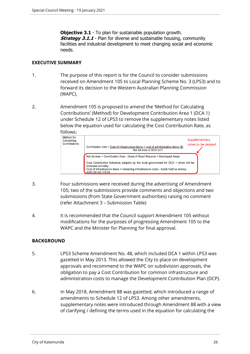**Objective 3.1** - To plan for sustainable population growth. **Strategy 3.1.1** - Plan for diverse and sustainable housing, community facilities and industrial development to meet changing social and economic needs.

#### **EXECUTIVE SUMMARY**

- 1. The purpose of this report is for the Council to consider submissions received on Amendment 105 to Local Planning Scheme No. 3 (LPS3) and to forward its decision to the Western Australian Planning Commission (WAPC).
- 2. Amendment 105 is proposed to amend the 'Method for Calculating Contributions' (Method) for Development Contribution Area 1 (DCA 1) under Schedule 12 of LPS3 to remove the supplementary notes listed below the equation used for calculating the Cost Contribution Rate, as



- 3. Four submissions were received during the advertising of Amendment 105; two of the submissions provide comments and objections and two submissions (from State Government authorities) raising no comment (refer Attachment 3 – Submission Table)
- 4. It is recommended that the Council support Amendment 105 without modifications for the purposes of progressing Amendment 105 to the WAPC and the Minister for Planning for final approval.

## **BACKGROUND**

- 5. LPS3 Scheme Amendment No. 48, which included DCA 1 within LPS3 was gazetted in May 2013. This allowed the City to place on development approvals and recommend to the WAPC on subdivision approvals, the obligation to pay a Cost Contribution for common infrastructure and administration costs to manage the Development Contribution Plan (DCP).
- 6. In May 2018, Amendment 88 was gazetted, which introduced a range of amendments to Schedule 12 of LPS3. Among other amendments, supplementary notes were introduced through Amendment 88 with a view of clarifying / defining the terms used in the equation for calculating the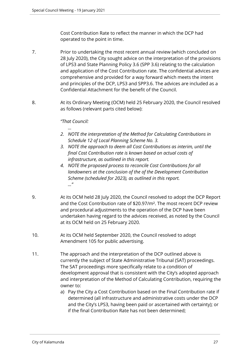Cost Contribution Rate to reflect the manner in which the DCP had operated to the point in time.

- 7. Prior to undertaking the most recent annual review (which concluded on 28 July 2020), the City sought advice on the interpretation of the provisions of LPS3 and State Planning Policy 3.6 (SPP 3.6) relating to the calculation and application of the Cost Contribution rate. The confidential advices are comprehensive and provided for a way forward which meets the intent and principles of the DCP, LPS3 and SPP3.6. The advices are included as a Confidential Attachment for the benefit of the Council.
- 8. At its Ordinary Meeting (OCM) held 25 February 2020, the Council resolved as follows (relevant parts cited below):

## *"That Council:*

*…*

- *2. NOTE the interpretation of the Method for Calculating Contributions in Schedule 12 of Local Planning Scheme No. 3.*
- *3. NOTE the approach to deem all Cost Contributions as interim, until the final Cost Contribution rate is known based on actual costs of infrastructure, as outlined in this report.*
- *4. NOTE the proposed process to reconcile Cost Contributions for all landowners at the conclusion of the of the Development Contribution Scheme (scheduled for 2023), as outlined in this report. ..."*
- 9. At its OCM held 28 July 2020, the Council resolved to adopt the DCP Report and the Cost Contribution rate of \$20.97/m². The most recent DCP review and procedural adjustments to the operation of the DCP have been undertaken having regard to the advices received, as noted by the Council at its OCM held on 25 February 2020.
- 10. At its OCM held September 2020, the Council resolved to adopt Amendment 105 for public advertising.
- 11. The approach and the interpretation of the DCP outlined above is currently the subject of State Administrative Tribunal (SAT) proceedings. The SAT proceedings more specifically relate to a condition of development approval that is consistent with the City's adopted approach and interpretation of the Method of Calculating Contribution, requiring the owner to:
	- a) Pay the City a Cost Contribution based on the Final Contribution rate if determined (all infrastructure and administrative costs under the DCP and the City's LPS3, having been paid or ascertained with certainty); or if the final Contribution Rate has not been determined;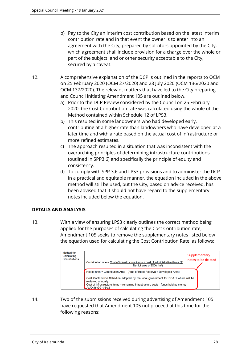- b) Pay to the City an interim cost contribution based on the latest interim contribution rate and in that event the owner is to enter into an agreement with the City, prepared by solicitors appointed by the City, which agreement shall include provision for a charge over the whole or part of the subject land or other security acceptable to the City, secured by a caveat.
- 12. A comprehensive explanation of the DCP is outlined in the reports to OCM on 25 February 2020 (OCM 27/2020) and 28 July 2020 (OCM 136/2020 and OCM 137/2020). The relevant matters that have led to the City preparing and Council initiating Amendment 105 are outlined below.
	- a) Prior to the DCP Review considered by the Council on 25 February 2020, the Cost Contribution rate was calculated using the whole of the Method contained within Schedule 12 of LPS3.
	- b) This resulted in some landowners who had developed early, contributing at a higher rate than landowners who have developed at a later time and with a rate based on the actual cost of infrastructure or more refined estimates.
	- c) The approach resulted in a situation that was inconsistent with the overarching principles of determining infrastructure contributions (outlined in SPP3.6) and specifically the principle of equity and consistency.
	- d) To comply with SPP 3.6 and LPS3 provisions and to administer the DCP in a practical and equitable manner, the equation included in the above method will still be used, but the City, based on advice received, has been advised that it should not have regard to the supplementary notes included below the equation.

## **DETAILS AND ANALYSIS**

13. With a view of ensuring LPS3 clearly outlines the correct method being applied for the purposes of calculating the Cost Contribution rate, Amendment 105 seeks to remove the supplementary notes listed below the equation used for calculating the Cost Contribution Rate, as follows:

| Method for<br>Calculating<br>Contributions | Contribution rate = Cost of infrastructure items $+$ cost of administrative items $(\$)$<br>Net lot area of DCA $(m^2)$                                                                                                                                                                           | Supplementary<br>notes to be deleted |
|--------------------------------------------|---------------------------------------------------------------------------------------------------------------------------------------------------------------------------------------------------------------------------------------------------------------------------------------------------|--------------------------------------|
|                                            | Net lot area = Contribution Area - (Area of Road Reserve + Developed Area)<br>Cost Contribution Schedule adopted by the local government for DCA 1 which will be<br>reviewed annually.<br>Cost of infrastructure items = remaining infrastructure costs - funds held as money<br>AMD 88 GG 1/5/18 |                                      |

14. Two of the submissions received during advertising of Amendment 105 have requested that Amendment 105 not proceed at this time for the following reasons: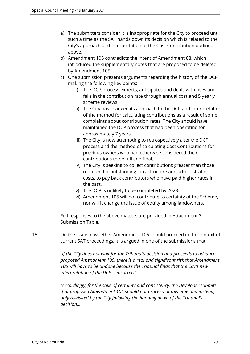- a) The submitters consider it is inappropriate for the City to proceed until such a time as the SAT hands down its decision which is related to the City's approach and interpretation of the Cost Contribution outlined above.
- b) Amendment 105 contradicts the intent of Amendment 88, which introduced the supplementary notes that are proposed to be deleted by Amendment 105.
- c) One submission presents arguments regarding the history of the DCP, making the following key points:
	- i) The DCP process expects, anticipates and deals with rises and falls in the contribution rate through annual cost and 5 yearly scheme reviews.
	- ii) The City has changed its approach to the DCP and interpretation of the method for calculating contributions as a result of some complaints about contribution rates. The City should have maintained the DCP process that had been operating for approximately 7 years.
	- iii) The City is now attempting to retrospectively alter the DCP process and the method of calculating Cost Contributions for previous owners who had otherwise considered their contributions to be full and final.
	- iv) The City is seeking to collect contributions greater than those required for outstanding infrastructure and administration costs, to pay back contributors who have paid higher rates in the past.
	- v) The DCP is unlikely to be completed by 2023.
	- vi) Amendment 105 will not contribute to certainty of the Scheme, nor will it change the issue of equity among landowners.

Full responses to the above matters are provided in Attachment 3 – Submission Table.

15. On the issue of whether Amendment 105 should proceed in the context of current SAT proceedings, it is argued in one of the submissions that:

> *"If the City does not wait for the Tribunal's decision and proceeds to advance proposed Amendment 105, there is a real and significant risk that Amendment 105 will have to be undone because the Tribunal finds that the City's new interpretation of the DCP is incorrect".*

*"Accordingly, for the sake of certainty and consistency, the Developer submits that proposed Amendment 105 should not proceed at this time and instead, only re-visited by the City following the handing down of the Tribunal's decision…"*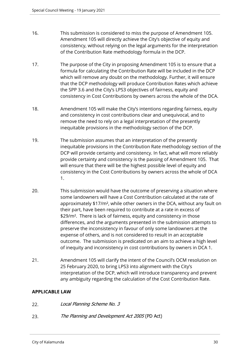- 16. This submission is considered to miss the purpose of Amendment 105. Amendment 105 will directly achieve the City's objective of equity and consistency, without relying on the legal arguments for the interpretation of the Contribution Rate methodology formula in the DCP.
- 17. The purpose of the City in proposing Amendment 105 is to ensure that a formula for calculating the Contribution Rate will be included in the DCP which will remove any doubt on the methodology. Further, it will ensure that the DCP methodology will produce Contribution Rates which achieve the SPP 3.6 and the City's LPS3 objectives of fairness, equity and consistency in Cost Contributions by owners across the whole of the DCA.
- 18. Amendment 105 will make the City's intentions regarding fairness, equity and consistency in cost contributions clear and unequivocal, and to remove the need to rely on a legal interpretation of the presently inequitable provisions in the methodology section of the DCP.
- 19. The submission assumes that an interpretation of the presently inequitable provisions in the Contribution Rate methodology section of the DCP will provide certainty and consistency. In fact, what will more reliably provide certainty and consistency is the passing of Amendment 105. That will ensure that there will be the highest possible level of equity and consistency in the Cost Contributions by owners across the whole of DCA 1.
- 20. This submission would have the outcome of preserving a situation where some landowners will have a Cost Contribution calculated at the rate of approximately \$17/m², while other owners in the DCA, without any fault on their part, have been required to contribute at a rate in excess of \$29/m². There is lack of fairness, equity and consistency in those differences, and the arguments presented in the submission attempts to preserve the inconsistency in favour of only some landowners at the expense of others, and is not considered to result in an acceptable outcome. The submission is predicated on an aim to achieve a high level of inequity and inconsistency in cost contributions by owners in DCA 1.
- 21. Amendment 105 will clarify the intent of the Council's OCM resolution on 25 February 2020, to bring LPS3 into alignment with the City's interpretation of the DCP, which will introduce transparency and prevent any ambiguity regarding the calculation of the Cost Contribution Rate.

## **APPLICABLE LAW**

- 22. *Local Planning Scheme No. 3*
- 23. *The Planning and Development Act 2005* (PD Act)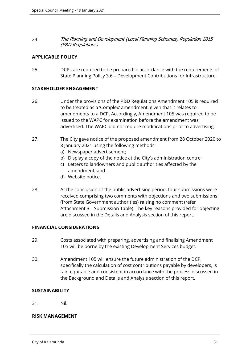24. *The Planning and Development (Local Planning Schemes) Regulation 2015 (P&D Regulations)*

#### **APPLICABLE POLICY**

25. DCPs are required to be prepared in accordance with the requirements of State Planning Policy 3.6 – Development Contributions for Infrastructure.

#### **STAKEHOLDER ENGAGEMENT**

- 26. Under the provisions of the P&D Regulations Amendment 105 is required to be treated as a 'Complex' amendment, given that it relates to amendments to a DCP. Accordingly, Amendment 105 was required to be issued to the WAPC for examination before the amendment was advertised. The WAPC did not require modifications prior to advertising.
- 27. The City gave notice of the proposed amendment from 28 October 2020 to 8 January 2021 using the following methods:
	- a) Newspaper advertisement;
	- b) Display a copy of the notice at the City's administration centre;
	- c) Letters to landowners and public authorities affected by the amendment; and
	- d) Website notice.
- 28. At the conclusion of the public advertising period, four submissions were received comprising two comments with objections and two submissions (from State Government authorities) raising no comment (refer Attachment 3 – Submission Table). The key reasons provided for objecting are discussed in the Details and Analysis section of this report.

## **FINANCIAL CONSIDERATIONS**

- 29. Costs associated with preparing, advertising and finalising Amendment 105 will be borne by the existing Development Services budget.
- 30. Amendment 105 will ensure the future administration of the DCP, specifically the calculation of cost contributions payable by developers, is fair, equitable and consistent in accordance with the process discussed in the Background and Details and Analysis section of this report.

## **SUSTAINABILITY**

31. Nil.

## **RISK MANAGEMENT**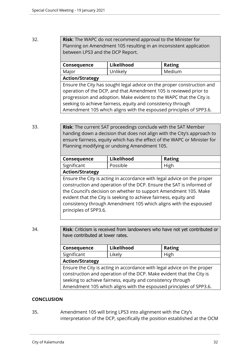## 32. **Risk**: The WAPC do not recommend approval to the Minister for Planning on Amendment 105 resulting in an inconsistent application between LPS3 and the DCP Report.

| Consequence                                                            | Likelihood | <b>Rating</b> |  |
|------------------------------------------------------------------------|------------|---------------|--|
| Major                                                                  | Unlikely   | Medium        |  |
| <b>Action/Strategy</b>                                                 |            |               |  |
| Ensure the City has sought legal advice on the proper construction and |            |               |  |
| operation of the DCP, and that Amendment 105 is reviewed prior to      |            |               |  |
| progression and adoption. Make evident to the WAPC that the City is    |            |               |  |
| seeking to achieve fairness, equity and consistency through            |            |               |  |
| Amendment 105 which aligns with the espoused principles of SPP3.6.     |            |               |  |

33. **Risk**: The current SAT proceedings conclude with the SAT Member handing down a decision that does not align with the City's approach to ensure fairness, equity which has the effect of the WAPC or Minister for Planning modifying or undoing Amendment 105.

| Consequence | Likelihood | <b>Rating</b> |
|-------------|------------|---------------|
| Significant | Possible   | High          |
|             |            |               |

## **Action/Strategy**

Ensure the City is acting in accordance with legal advice on the proper construction and operation of the DCP. Ensure the SAT is informed of the Council's decision on whether to support Amendment 105. Make evident that the City is seeking to achieve fairness, equity and consistency through Amendment 105 which aligns with the espoused principles of SPP3.6.

34. **Risk**: Criticism is received from landowners who have not yet contributed or have contributed at lower rates.

| Consequence                                                             | Likelihood | <b>Rating</b> |  |
|-------------------------------------------------------------------------|------------|---------------|--|
| Significant                                                             | Likely     | High          |  |
| <b>Action/Strategy</b>                                                  |            |               |  |
| Ensure the City is acting in accordance with legal advice on the proper |            |               |  |
| construction and operation of the DCP. Make evident that the City is    |            |               |  |
| seeking to achieve fairness, equity and consistency through             |            |               |  |
| Amendment 105 which aligns with the espoused principles of SPP3.6.      |            |               |  |

## **CONCLUSION**

35. Amendment 105 will bring LPS3 into alignment with the City's interpretation of the DCP, specifically the position established at the OCM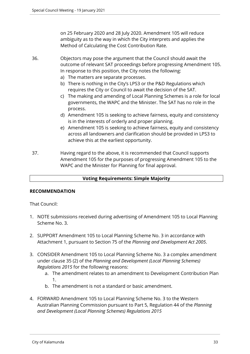on 25 February 2020 and 28 July 2020. Amendment 105 will reduce ambiguity as to the way in which the City interprets and applies the Method of Calculating the Cost Contribution Rate.

- 36. Objectors may pose the argument that the Council should await the outcome of relevant SAT proceedings before progressing Amendment 105. In response to this position, the City notes the following:
	- a) The matters are separate processes.
	- b) There is nothing in the City's LPS3 or the P&D Regulations which requires the City or Council to await the decision of the SAT.
	- c) The making and amending of Local Planning Schemes is a role for local governments, the WAPC and the Minister. The SAT has no role in the process.
	- d) Amendment 105 is seeking to achieve fairness, equity and consistency is in the interests of orderly and proper planning.
	- e) Amendment 105 is seeking to achieve fairness, equity and consistency across all landowners and clarification should be provided in LPS3 to achieve this at the earliest opportunity.
- 37. Having regard to the above, it is recommended that Council supports Amendment 105 for the purposes of progressing Amendment 105 to the WAPC and the Minister for Planning for final approval.

## **Voting Requirements: Simple Majority**

## **RECOMMENDATION**

That Council:

- 1. NOTE submissions received during advertising of Amendment 105 to Local Planning Scheme No. 3.
- 2. SUPPORT Amendment 105 to Local Planning Scheme No. 3 in accordance with Attachment 1, pursuant to Section 75 of the *Planning and Development Act 2005*.
- 3. CONSIDER Amendment 105 to Local Planning Scheme No. 3 a complex amendment under clause 35 (2) of the *Planning and Development (Local Planning Schemes) Regulations 2015* for the following reasons:
	- a. The amendment relates to an amendment to Development Contribution Plan 1.
	- b. The amendment is not a standard or basic amendment.
- 4. FORWARD Amendment 105 to Local Planning Scheme No. 3 to the Western Australian Planning Commission pursuant to Part 5, Regulation 44 of the *Planning and Development (Local Planning Schemes) Regulations 2015*